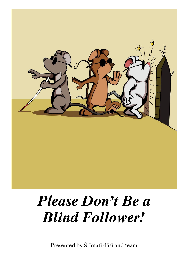

# *Please Don't Be a Blind Follower!*

Presented by Śrīmatī dāsī and team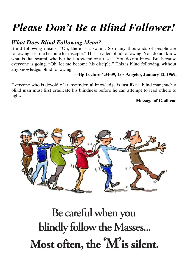## *Please Don't Be a Blind Follower!*

## *What Does Blind Following Mean?*

Blind following means: "Oh, there is a swami. So many thousands of people are following. Let me become his disciple." This is called blind following. You do not know what is that swami, whether he is a swami or a rascal. You do not know. But because everyone is going, "Oh, let me become his disciple." This is blind following, without any knowledge, blind following.

#### **—Bg Lecture 4.34-39, Los Angeles, January 12, 1969.**

Everyone who is devoid of transcendental knowledge is just like a blind man; such a blind man must first eradicate his blindness before he can attempt to lead others to light.

**— Message of Godhead**



## Be careful when you blindly follow the Masses... Most often, the 'M' is silent.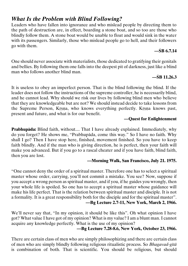## *What Is the Problem with Blind Following?*

Leaders who have fallen into ignorance and who mislead people by directing them to the path of destruction are, in effect, boarding a stone boat, and so too are those who blindly follow them. A stone boat would be unable to float and would sink in the water with its passengers. Similarly, those who mislead people go to hell, and their followers go with them.

#### **—ÇB 6.7.14**

One should never associate with materialists, those dedicated to gratifying their genitals and bellies. By following them one falls into the deepest pit of darkness, just like a blind man who follows another blind man.

#### **—ÇB 11.26.3**

It is useless to obey an imperfect person. That is the blind following the blind. If the leader does not follow the instructions of the supreme controller, he is necessarily blind, and he cannot lead. Why should we risk our lives by following blind men who believe that they are knowledgeable but are not? We should instead decide to take lessons from the Supreme Person, Krsna, who knows everything perfectly. Krsna knows past, present and future, and what is for our benefit.

#### **—Quest for Enlightenment**

**Prabhupäda:** Blind faith, without.... That I have already explained. Immediately, why do you forget? He shows me, "Prabhupäda, come this way." So I have no faith. Why shall I go? Then I have stop here, finished, movement finished. So you have to keep faith blindly. And if the man who is giving direction, he is perfect, then your faith will make you advanced. But if you go to a rascal cheater and if you have faith, blind faith, then you are lost.

#### **—Morning Walk, San Francisco, July 21. 1975.**

"One cannot deny the order of a spiritual master. Therefore one has to select a spiritual master whose order, carrying, you'll not commit a mistake. You see? Now, suppose if you accept a wrong person as spiritual master, and if you, if he guides you wrongly, then your whole life is spoiled. So one has to accept a spiritual master whose guidance will make his life perfect. That is the relation between spiritual master and disciple. It is not a formality. It is a great responsibility both for the disciple and for the spiritual master". **—Bg Lecture 2.7-11, New York, March 2, 1966.**

We'll never say that, "In my opinion, it should be like this". Oh what opinion I have got? What value I have got of my opinion? What is my value? I am a blunt man. I cannot acquire any knowledge perfectly. What is the use of my opinion?

#### **—Bg Lecture 7.28-8.6, New York, October 23, 1966.**

There are certain class of men who are simply philosophizing and there are certain class of men who are simply blindly following religious ritualistic process. So *Bhagavad-gétä*  is combination of both. That is scientific. You should be religious, but should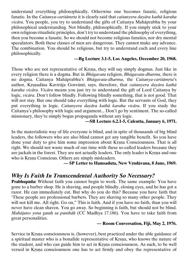understand everything philosophically. Otherwise one becomes fanatic, religious fanatic. In the *Caitanya-caritāmrta* it is clearly said that *caitanyera dayāra kathā karaha vicära*. You people, you try to understand the gifts of Caitanya Mahäprabhu by your philosophical understanding. Not blindly, philosophically. If you simply stick to your own religious ritualistic principles, don't try to understand the philosophy of everything, then you become a fanatic. So we should not become religious fanatics, nor dry mental speculators. Both these classes of men are dangerous. They cannot make any advance. The combination. You should be religious, but try to understand each and every line philosophically.

#### **—Bg Lecture 3.1-5, Los Angeles, December 20, 1968.**

Those who are not representative of Krsna, they will say simply dogmas. Just like in every religion there is a dogma. But in *Bhägavata* religion, *Bhägavata-dharma*, there is no dogma. Caitanya Mahāprabhu's *Bhāgavata-dharma*, the *Caitanya-caritāmrta*'s author, Krsnadāsa Kavirāja Gosvāmī, says, therefore, that *caitanyera dayāra kathā karaha vicära*. *Vicära* means you just try to understand the gift of Lord Caitanya by logic, *vicära*. Don't follow blindly. Following blindly something, that is not good. That will not stay. But one should take everything with logic. But the servants of God, they put everything in logic. *Caitanyera dayära kathä karaha vicära*. If you study the Caitanya's philosophy with logic and argument... Don't go by sentiment. The so-called missionary, they're simply bogus propaganda without any logic.

#### **—ÇB Lecture 6.2.1-5, Calcutta, January 6, 1971.**

In the materialistic way of life everyone is blind, and in spite of thousands of big blind leaders, the followers who are also blind cannot get any tangible benefit. So you have done your duty to give him some impression about Krsna Consciousness. That is all right. We should not waste much of our time with these so-called leaders because they are jackals in the forest. They are not actually leaders. The only leader is Krsna and one who is Krsna Conscious. Others are simply misleaders.

 $\frac{1}{2}$  **SP Letter to Hamsaduta, New Vrndävana, 8 June, 1969.** 

### *Why Is Faith In Transcendental Authority So Necessary?*

**Prabhupäda:** Without faith you cannot begin to work. The same example: You have gone to a barber shop. He is shaving, and people blindly, closing eyes, and he has got a razor. He can immediately cut. But why do you do this? Because you have faith that 'These people are professional barbers. They are shaving so many other people. They will not kill me. All right. Go on," This is faith. And if you have no faith, than you will never have clean shaven. You go away. So beginning is faith, but should not be blind. *Mahājano yena gatah sa panthāh* (CC Madhya 17.186). You have to take faith from great personalities.

#### **— Room Conversation, Fiji, May 2, 1976.**

Service in Krsna consciousness is, (however), best practiced under the able guidance of a spiritual master who is a bonafide representative of Krsna, who knows the nature of the student, and who can guide him to act in Krsna consciousness. As such, to be well versed in Krsna consciousness one has to act firmly and obey the representative of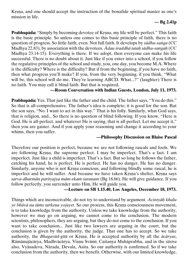Krsna, and one should accept the instruction of the bonafide spiritual master as one's mission in life.

#### **— Bg 2.41p**

**Prabhupāda:** "Simply by becoming devotee of Krsna, my life will be perfect." This faith is the basic principle. So unless one comes to this basic principle of faith, there is no question of progress. So little faith, even. Not full faith. It develops by *sädhu-saìga* (CC Madhya 22.83), by association with the devotees.  $\bar{A}$ *dau sraddhā tatah sādhu-sangah* (CC Madhya 23.14-15). Everything is there. If we adopt, then everyone can make his life successful. There is no doubt about it. Just like if you enter into a school, if you follow the regulative principles of the school and study, you, one day, you become M.A. Where is the difficulty? Where is the difficulty? But if from the beginning, if you have no faith, then what progress you'll make? If you, from the very beginning, if you think, "What will be, this school will do me. They're learning ABCD. What...?" (laughter) There is no faith. You may call it blind faith. But that is required.

#### **—Room Conversation with Indian Guests, London, July 11, 1973.**

**Prabhupäda:** Yes. That just like the father and the child. The father says, "You do this." So that is all-comprehensive. The father's idea is complete; it is good for the son. But the son says, "No. I want to act in this way." That is his folly. Similarly, what God says, that is religion, and... So there is no question of blind following. If you know, "Here is God. He is all-perfect, and whatever He is saying, that is all-perfect. Let me accept it," then you are gainer. And if you apply your reasoning and change it according to your whims, then you suffer.

#### **—Philosophy Discussion on Blaise Pascal**

Therefore our position is perfect, because we are not following rascals and fools. We are following Krsna, the supreme perfect. I may be imperfect. That's a fact. I am imperfect. Just like a child is imperfect. That's a fact. But so long he follows the father, catching his hand, he is perfect. He is perfect. He has no danger. He has no danger. Similarly, anyone who is not Krsna conscious, and following blindly some rascal, he is imperfect and he will suffer. And because we have taken Krsna's shelter, Krsna says *sarva-dharmān parityajya mām ekam śaranam* (Bg 18.66). He will give guidance. If you follow perfectly, you surrender unto Him, He will guide you.

#### **—Lecture on ÇB 1.15.40, Los Angeles, December 18, 1973.**

Things which are inconceivable, do not try to understand by argument. *Acintyäù khalu ye bhāvā na tāms tarkena yojayet*. So our process, this Krsna consciousness movement, is to take knowledge from the authority. Unless we take knowledge from the authority, however we may go on arguing, we cannot come to the conclusion. The modern scientists, philosophers, they are arguing, but they do not come to the conclusion. If you want to take conclusion... Just like two lawyers are arguing in the court, but the conclusion is given by the authority, the judge. That one has to accept. So we take authority, the *Bhagavād-gītā* or Krsna. He is accepted authority by all the *ācāryas*, Rämänujäcärya, Madhväcärya, Viñëu Svämé, Caitanya Mahäprabhu, and in the *çästra*  also, Vyäsadeva, Närada, Devala, Asita. So our authority is confirmed. So if we take conclusion from the authority, then we benefit. Otherwise, with our limited knowledge,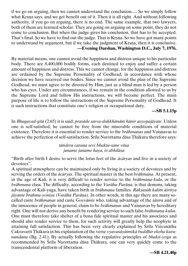if we go on arguing, then we cannot understand the conclusion..... So we simply follow what Krsna says, and we get benefit out of it. Then it is all right. And without following authority, if you go on arguing, there is no end. The same example, that two lawyers, both of them are learned scholar. They are going on arguing on some point, they do not come to conclusion. But when the judge gives his conclusion, that has to be accepted. That's final. So we have to find out the judge. That is Krsna. So we have got many points to understand by argument, but if we take the judgment of Krsna, then it is conclusive. **—Evening Darshan, Washington D.C., July 7, 1976.**

By material means, one cannot avoid the happiness and distress unique to his particular body. There are 8,400,000 bodily forms, each destined to enjoy and suffer a certain amount of happiness and distress. This we cannot change, for the happiness and distress are ordained by the Supreme Personality of Godhead, in accordance with whose decision we have received our bodies. Since we cannot avoid the plan of the Supreme Godhead, we must agree to be directed by Him, just as a blind man is led by a person who has eyes. Under any circumstances, if we remain in the condition allotted to us by the Supreme Lord and follow His instructions, we will become perfect. The main purpose of life is to follow the instructions of the Supreme Personality of Godhead. It is such instructions that constitute one's religion or occupational duty.

#### **—ÇB 5.1.15p**

In *Bhagavad-gétä* (2.65) it is said: *prasäde sarva-duùkhänäà hänir asyopajäyate*. Unless one is self-satisfied, he cannot be free from the miserable conditions of material existence. Therefore it is essential to render service to the *brāhmanas* and Vaisnavas to achieve the perfection of self-satisfaction. Śrīla Narottama dāsa Thākura therefore says:

#### *täìdera caraëa sevi bhakta-sane väsa janame janame haya, ei abhiläña*

"Birth after birth I desire to serve the lotus feet of the *äcäryas* and live in a society of devotees".

A spiritual atmosphere can be maintained only by living in a society of devotees and by serving the orders of the  $\bar{a}c\bar{a}ryas$ . The spiritual master in the best *brāhmana*. At present, in the age of Kali, it is very difficult to render service to the *brāhmana-kula*, or the *brāhmana* class. The difficulty, according to the *Varāha Purāna*, is that demons, taking advantage of Kali-yuga, have taken birth in *brāhmana* families. *Rāksasāh kalim āsritya jāyante brahma-yonisu (Varāha Purāna)*. In other words, in this age there are many socalled caste *brāhmanas* and caste *Gosvāmīs* who, taking advantage of the *sāstra* and of the innocence of people in general, claim to be *brāhmanas* and Vaisnavas by hereditary right. One will not derive any benefit by rendering service to such false *brāhmana-kulas*. One must therefore take shelter of a bona fide spiritual master and his associates and should also render service to them, for such activity will greatly help the neophyte in attaining full satisfaction. This has been very clearly explained by Srila Visyanatha Cakravartī Thākura in his explanation of the verse *vyavasāyātmikā buddhir ekeha kurunandana* (Bg. 2.41). By actually following the regulative principles of *bhakti-yoga* as recommended by Srila Narottama dāsa Thākura, one can very quickly come to the transcendental platform of liberation.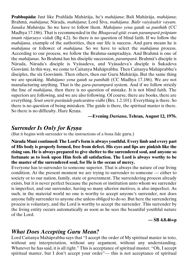**Prabhupäda:** Just like Prahläda Mahäräja, he's *mahäjana*; Bali Mahäräja, *mahäjana*; Brahmä, *mahäjana*; Närada, *mahäjana*; Lord Çiva, *mahäjana*. *Balir vaiyäsakir vayam. Janaka Mahārāja.* So we have to follow them. *Mahājano yena gatah sa panthāh* (CC Madhya 17.186). That is recommended in the *Bhagavad-gitā: evam paramparā prāptam imam rājarsayo viduh* (Bg 4.2). So there is no question of blind faith. If we follow the *mahājana*, example of the authorities, then our life is success. And guru means he is *mahäjana* or follower of *mahäjana*. So we have to select the *mahäjana* process. According to our process, we follow the Brahma-sampradäya. And Brahmä is one of the *mahäjanas*. So Brahmä has his disciplic succession, *paramparä*. Brahmä's disciple is Närada, Närada's disciple is Vyäsadeva, and Vyäsadeva's disciple is Çukadeva Gosvämé. In this way, we come to Caitanya Mahäprabhu. Then Caitanya Mahäprabhu's disciples, the six Gosvämés. Then others, then our Guru Mahäräja. But the same thing we are speaking. *Mahäjano yena gataù sa panthäù* (CC Madhya 17.186). We are not manufacturing anything. That is the *guru-paramparä* system. And if we follow strictly the line of *mahäjana*, then there is no question of mistake. It is not blind faith. The superiors are following, and we are also following. Of course, there are books, there are everything. *Śruti smrti-purānādi-pañcarātra-vidhi* (Brs. 1.2.101). Everything is there. So there is no question of being mistaken. The guide is there, the spiritual master is there. So there is no difficulty. Hare Krsna.

#### **—Evening** *Darçana***, Tehran, August 12, 1976.**

### **Surrender Is Only for Krsna**

(But it begins with surrender to the instructions of a bona fide guru.)

**Närada Muni continued: The Lord's form is always youthful. Every limb and every part of His body is properly formed, free from defect. His eyes and lips are pinkish like the rising sun. He is always prepared to give shelter to the surrendered soul, and anyone so fortunate as to look upon Him feels all satisfaction. The Lord is always worthy to be the master of the surrendered soul, for He is the ocean of mercy.**

Everyone has to surrender to someone superior. That is always the nature of our living condition. At the present moment we are trying to surrender to someone — either to society or to our nation, family, state or government. The surrendering process already exists, but it is never perfect because the person or institution unto whom we surrender is imperfect, and our surrender, having so many ulterior motives, is also imperfect. As such, in the material world no one is worthy to accept anyone's surrender, nor does anyone fully surrender to anyone else unless obliged to do so. But here the surrendering process is voluntary, and the Lord is worthy to accept the surrender. This surrender by the living entity occurs automatically as soon as he sees the beautiful youthful nature of the Lord.

**— ÇB 4.8.46+p**

## *What Does Accepting Guru Mean?*

Lord Caitanya Mahäprabhu says that "I accept the order of My spiritual master in toto, without any interpretation, without any argument, without any understanding. Whatever he has said, it is all right." This is acceptance of spiritual master. "Oh, I accept spiritual master, but I don't accept your order"— this is not acceptance of spiritual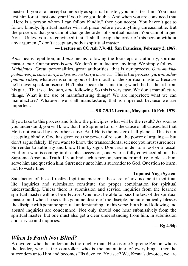master. If you at all accept somebody as spiritual master, you must test him. You must test him for at least one year if you have got doubts. And when you are convinced that "Here is a person whom I can follow blindly," then you accept. You haven't got to follow blindly. Spiritual master will not place before you anything unreasonable. But the process is that you cannot change the order of spiritual master. You cannot argue. You... Unless you are convinced that "I shall accept the order of this person without any argument," don't accept anybody as spiritual master.

#### **— Lecture on CC Ädi 7.76-81, San Francisco, February 2, 1967.**

*Anu* means repetition, and *anu* means following the footsteps of authority, spiritual master, *anu*. Our process is *anu*. We don't manufacture anything. We simply follow.... *Mahäjanas*. Great personalities, great authorities, that is our process. *Guru-mukhapadma-väkya, cittete kariyä aikya, ära na koriya mane äca*. This is the process. *guru-mukhapadma-väkya*, whatever is coming out of the mouth of the spiritual master... Because he'll never speak nonsense. He'll also speak the same thing which he has heard from his guru. That is called *anu, anu*, following. So this is very easy. We don't manufacture things. What is the use of manufacturing things? We are imperfect; what we can manufacture? Whatever we shall manufacture, that is imperfect because we are imperfect.

#### **— ÇB 7.9.12 Lecture, Mayapur, 10 Feb, 1979.**

If you take to this process and follow the principles, what will be the result? As soon as you understand, you will know that the Supreme Lord is the cause of all causes, but that He is not caused by any other cause. And He is the master of all planets. This is not accepting blindly. God has given you the power of reason, the power of arguing — but don't argue falsely. If you want to know the transcendental science you must surrender. Surrender to authority and know Him by signs. Don't surrender to a fool or a rascal. Find one who is coming in disciplic succession, one who is fully convinced about the Supreme Absolute Truth. If you find such a person, surrender and try to please him, serve him and question him. Surrender unto him is surrender to God. Question to learn, not to waste time.

#### **— Topmost Yoga System**

Satisfaction of the self-realized spiritual master is the secret of advancement in spiritual life. Inquiries and submission constitute the proper combination for spiritual understanding. Unless there is submission and service, inquiries from the learned spiritual master will not be effective. One must be able to pass the test of the spiritual master, and when he sees the genuine desire of the disciple, he automatically blesses the disciple with genuine spiritual understanding. In this verse, both blind following and absurd inquiries are condemned. Not only should one hear submissively from the spiritual master, but one must also get a clear understanding from him, in submission and service and inquiries.

**— Bg 4.34p**

#### *When Is Faith Not Blind?*

A devotee, when he understands thoroughly that "Here is one Supreme Person, who is the leader, who is the controller, who is the maintainer of everything," then he surrenders unto Him and becomes His devotee. You see? We, Krsna's devotee, we are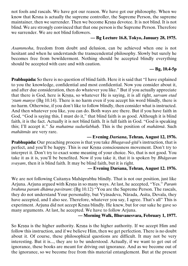not fools and rascals. We have got our reason. We have got our philosophy. When we know that Krsna is actually the supreme controller, the Supreme Person, the supreme maintainer, then we surrender. Then we become Krsna devotee. It is not blind. It is not blind. We are strongly convinced that that one person is the Supreme Person. Therefore we surrender. We are not blind followers.

#### **— Bg Lecture 16.8, Tokyo, January 28, 1975.**

*Asammoha*, freedom from doubt and delusion, can be achieved when one is not hesitant and when he understands the transcendental philosophy. Slowly but surely he becomes free from bewilderment. Nothing should be accepted blindly everything should be accepted with care and with caution.

#### **— Bg, 10.4-5p**

**Prabhupäda:** So there is no question of blind faith. Here it is said that "I have explained to you the knowledge, confidential and most confidential. Now you consider about it, and after due consideration, then do whatever you like." But if you actually appreciate that there is God, here is Krsna, so whatever He is saying, it is all right, *sarvam etad 'rtam manye* (Bg 10.14). There is no harm even if you accept his word blindly, there is no harm. Otherwise, if you don't like to follow blindly, then consider what is instructed. And then whatever you like, you can do. Both ways are there. But if you have faith in God, "God is saying this, I must do it," that blind faith is as good. Although it is blind faith, it is the fact. Actually it is not blind faith. It is full faith in God. "God is speaking this; I'll accept it." *Sa mahatma sudurlabhaù*. This is the position of *mahätmä*. Such *mahätmäs* are very rare.

#### **— Evening** *Darçana***, Tehran, August 12, 1976.**

**Prabhupäda:** Our preaching process is that you take *Bhagavad-gétä*'s instruction, that is perfect, and you'll be happy. This is our Krsna consciousness movement. Don't try to interpret it. Don't try to exact some meaning of your choice. No, that is not good. You take it as it is, you'll be benefited. Now if you take it, that it is spoken by *Bhägavan svayam*, then it is blind faith. It may be blind faith, but it is right.

#### **— Evening Darçana, Tehran, August 12. 1976.**

We are not following Caitanya Mahäprabhu blindly. That is not our position, just like Arjuna. Arjuna argued with Krsna in so many ways. At last, he accepted, "Yes." *Param brahma param dhāma pavitram*: (Bg 10.12) "You are the Supreme Person. The rascals, they do not understand Your personality, but Vyäsadeva, Närada, Asita, Devala, they have accepted, and I also see. Therefore, whatever you say, I agree. That's all" This is experiment. Arjuna did not accept Krsna blindly. He knew, but for our sake he gave so many arguments. At last, he accepted. We have to follow Arjuna.

#### **— Morning Walk, Bhuvanesvara, February 1, 1977.**

So Krsna is the higher authority. Krsna is the higher authority. If we accept Him and follow this instruction, and if we believe Him, then we get perfection. There is no doubt about it. Of course, these philosophical questions are difficult. It may not be very interesting. But it is..., they are to be understood. Actually, if we want to get out of ignorance, these books are meant for driving out ignorance. And as we become out of the ignorance, so we become free from this material entanglement. But at the present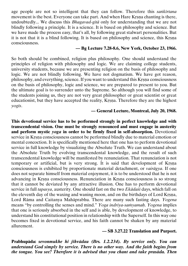age people are not so intelligent that they can follow. Therefore this *sankirtana* movement is the best. Everyone can take part. And when Hare Krsna chanting is there, undoubtedly... We discuss this *Bhagavad-gétä* only for understanding that we are not blindly following a principle. It is a science. It is based on philosophy and science. But we have made the process easy, that's all, by following great stalwart personalities. But it is not that it is a blind following. It is based on philosophy and science, this Krsna consciousness.

#### **— Bg Lecture 7.28-8.6, New York, October 23, 1966.**

So both should be combined, religion plus philosophy. One should understand the principles of religion with philosophy and logic. We are claiming college students, university students, because we are presenting religion on the basis of philosophy and logic. We are not blindly following. We have not dogmatism. We have got reason, philosophy, and everything, science. If you want to understand this Krsna consciousness on the basis of philosophy, logic and science, we are prepared to present to you. But the ultimate goal is to surrender unto the Supreme. So although you will find some of the students joining us, they are not very great philosopher or great scientist or great educationist, but they have accepted the reality, Krsna. Therefore they are the highest *yogés*.

#### **— General Lecture, Montreal, July 20, 1968.**

**This devotional service has to be performed strongly in perfect knowledge and with transcendental vision. One must be strongly renounced and must engage in austerity and perform mystic** *yoga* **in order to be firmly fixed in self-absorption.** Devotional service in Krsna consciousness cannot be performed blindly due to material emotion or mental concoction. It is specifically mentioned here that one has to perform devotional service in full knowledge by visualizing the Absolute Truth. We can understand about the Absolute Truth by evolving transcendental knowledge, and the result of such transcendental knowledge will be manifested by renunciation. That renunciation is not temporary or artificial, but is very strong. It is said that development of Krsna consciousness is exhibited by proportionate material detachment, or *vairägya*. If one does not separate himself from material enjoyment, it is to be understood that he is not advancing in Krsna consciousness. Renunciation in Krsna consciousness is so strong that it cannot be deviated by any attractive illusion. One has to perform devotional service in full *tapasya*, austerity. One should fast on the two *Ekädaçé* days, which fall on the eleventh day of the waxing and waning moon, and on the birthdays of Lord Krsna, Lord Räma and Caitanya Mahäprabhu. There are many such fasting days. *Yogena*  means "by controlling the senses and mind." *Yoga indriya-samyamah*. *Yogena* implies that one is seriously absorbed in the self and is able, by development of knowledge, to understand his constitutional position in relationship with the Superself. In this way one becomes fixed in devotional service, and his faith cannot be shaken by any material allurement.

#### **— ÇB 3.27.22 Translation and Purport.**

**Prabhupäda:** *sevonmukhe hi jihvädau (Brs. 1.2.234). By service only. You can understand God simply by service. There is no other way. And the faith begins from the tongue. You see? Therefore it is advised that you chant and take prasäda. Then*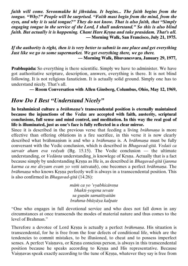*faith will come. Sevonmukhe hi jihvädau. It begins... The faith begins from the tongue. "Why?" People will be surprised. "Faith must begin from the mind, from the eyes, and why it is said tongue?" They do not know. That is also faith, that "Simply engaging tongue in the service of the Lord, I shall understand." So this is also blind faith. But actually it is happening. Chant Hare Krsna and take prasādam. That's all.* **— Morning Walk, San Francisco, July 21, 1975.**

*If the authority is right, then it is very better to submit in one place and get everything Just like we go to some supermarket. We get everything there, we go there.*  **— Morning Walk, Bhuvanesvara, January 29, 1977,**

**Prabhupäda:** So everything is there scientific. Simply we have to administer. We have got authoritative scripture, description, answers, everything is there. It is not blind following. It is not religious fanaticism. It is actually solid ground. Simply one has to understand nicely. That's all.

**— Room Conversation with Allen Ginsberg, Columbus, Ohio, May 12, 1969,**

### *How Do I Best "Understand Nicely"*

In brahminical culture a *brāhmana's* transcendental position is eternally maintained **because the injunctions of the** *Vedas* **are accepted with faith, austerity, scriptural conclusions, full sense and mind control, and meditation. In this way the real goal of life is illuminated, just as one's face is fully reflected in a clear mirror.**

Since it is described in the previous verse that feeding a living *brāhmana* is more effective than offering oblations in a fire sacrifice, in this verse it is now clearly described what brähmanism is and who a *brāhmana* is. A *brāhmana* must be fully conversant with the Vedic conclusion, which is described in *Bhagavad-gétä. Vedaiç ca sarvair aham eva vedyaù* (Bg. 15.15). The Vedic conclusion — the ultimate understanding, or *Vedānta* understanding is knowlege of Krsna. Actually that is a fact because simply by understanding Kåñëa as He is, as described in *Bhagavad-gétä* (*janma karma ca me divyam evam yo vetti tattvatah*), one becomes a perfect *brāhmana*. The *brāhmana* who knows Krsna perfectly well is always in a transcendental position. This is also confirmed in *Bhagavad-gétä* (14.26):

> *mām ca yo 'vyabhicārena bhakti-yogena sevate sa guëän samatétyaitän brahma-bhüyäya kalpate*

"One who engages in full devotional service and who does not fall down in any circumstances at once transcends the modes of material nature and thus comes to the level of Brahman."

Therefore a devotee of Lord Krsna is actually a perfect *brāhmana*. His situation is transcendental, for he is free from the four defects of conditional life, which are the tendencies to commit mistakes, to be illusioned, to cheat and to possess imperfect senses. A perfect Vaisnava, or Krsna conscious person, is always in this transcendental position because he speaks according to Krsna and His representative. Because Vaisnavas speak exactly according to the tune of Krsna, whatever they say is free from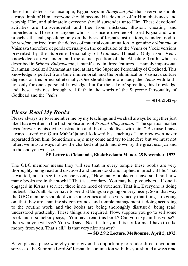these four defects. For example, Krsna, says in *Bhagavad-gita* that everyone should always think of Him, everyone should become His devotee, offer Him obeisances and worship Him, and ultimately everyone should surrender unto Him. These devotional activities are transcendental and free from mistakes, illusion, cheating and imperfection. Therefore anyone who is a sincere devotee of Lord Krsna and who preaches this cult, speaking only on the basis of Krsna's instructions, is understood to be *virajam*, or free from the defects of material contamination. A genuine *brāhmana* or Vaisnava therefore depends eternally on the conclusion of the *Vedas* or Vedic versions presented by the Supreme Personality of Godhead Himself. Only from Vedic knowledge can we understand the actual position of the Absolute Truth, who, as described in *Srimad-Bhāgavatam*, is manifested in three features — namely impersonal Brahman, localized Paramätmä and, at last, the Supreme Personality of Godhead. This knowledge is perfect from time immemorial, and the brahminical or Vaisnava culture depends on this principal eternally. One should therefore study the *Vedas* with faith, not only for one's personal knowledge, but for the sake of spreading this knowledge and these activities through real faith in the words of the Supreme Personality of Godhead and the *Vedas*.

 $-\text{\r{S}}\text{B}$  4.21.42+p

## *Please Read My Books*

Please always try to remember me by my teachings and we shall always be together just like I have written in the first publications of *Śrīmad-Bhagavatam*. "The spiritual master lives forever by his divine instruction and the disciple lives with him." Because I have always served my Guru Mahäräja and followed his teachings I am now even never separated from him. Sometimes *mayä* may come and try to interfere but we must not falter, we must always follow the chalked out path laid down by the great *äcäryas* and in the end you will see.

#### **—ÇP Letter to Cidananda, Bhaktivedanta Manor, 25 November, 1973.**

The GBC member means they will see that in every temple these books are very thoroughly being read and discussed and understood and applied in practical life. That is wanted, not to see the vouchers only, "How many books you have sold, and how many books are in the stock?" That is secondary. You may keep vouchers... If one is engaged in Krsna's service, there is no need of vouchers. That is... Everyone is doing his best. That's all. So we have to see that things are going on very nicely. So in that way the GBC members should divide some zones and see very nicely that things are going on, that they are chanting sixteen rounds, and temple management is doing according to the routine work, and the books are being thoroughly discussed, being read, understood practically. These things are required. Now, suppose you go to sell some book and if somebody says, "You have read this book? Can you explain this verse?" then what you will say? You will say, "No. It is for you. It is not for me. I have to take money from you. That's all." Is that very nice answer?

#### **— ÇB 2.9.2 Lecture, Melbourne, April 5, 1972.**

A temple is a place whereby one is given the opportunity to render direct devotional service to the Supreme Lord Sri Krsna. In conjunction with this you should always read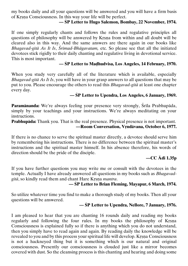my books daily and all your questions will be answered and you will have a firm basis of Krsna Consciousness. In this way your life will be perfect.

#### **— ÇP Letter to Hugo Salemon, Bombay, 22 November, 1974.**

If one simply regularly chants and follows the rules and regulative principles all questions of philosophy will be answered by Krsna from within and all doubt will be cleared also in this way. And the same answers are there again in our books like *Bhagavad-gétä As It Is*, *Çrémad-Bhägavatam,* etc. So please see that all the initiated devotees stick rigidly to their daily chanting and regulative living in devotional service. This is most important.

#### $\sim$  **SP** Letter to Madhudvisa, Los Angeles, 14 February, 1970.

When you study very carefully all of the literature which is available, especially *Bhagavad-gétä As It Is*, you will have in your grasp answers to all questions that may be put to you. Please encourage the others to read this *Bhagavad-gétä* at least one chapter every day.

#### **— ÇP Letter to Upendra, Los Angeles, 6 January, 1969.**

**Paramānanda:** We're always feeling your presence very strongly, Srila Prabhupāda, simply by your teachings and your instructions. We're always meditating on your instructions.

**Prabhupäda:** Thank you. That is the real presence. Physical presence is not important. **—Room Conversation, Vrndävana, October 6, 1977.** 

If there is no chance to serve the spiritual master directly, a devotee should serve him by remembering his instructions. There is no difference between the spiritual master's instructions and the spiritual master himself. In his absence therefore, his words of direction should be the pride of the disciple.

#### **—CC Ädi 1.35p**

If you have further questions you may write me or consult with the devotees in the temple. Actually I have already answered all questions in my books such as *Bhagavadgétä*, so kindly read them and chant Hare Kåñëa *mantra*.

#### **— ÇP Letter to Brian Fleming, Mayapur, 6 March, 1974.**

So utilize whatever time you find to make a thorough study of my books. Then all your questions will be answered.

#### **— ÇP Letter to Upendra, Nellore, 7 January, 1976.**

I am pleased to hear that you are chanting 16 rounds daily and reading my books regularly and following the four rules. In my books the philosophy of Krsna Consciousness is explained fully so if there is anything which you do not understand, then you simply have to read again and again. By reading daily the knowledge will be revealed to you and by this process your spiritual life will develop. Krsna Consciousness is not a hackneyed thing but it is something which is our natural and original consciousness. Presently our consciousness is clouded just like a mirror becomes covered with dust. So the cleansing process is this chanting and hearing and doing some